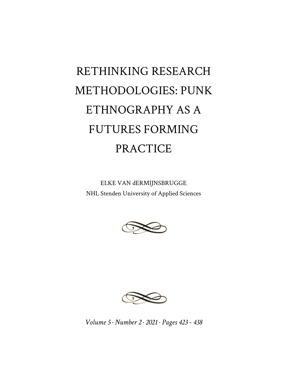# RETHINKING RESEARCH METHODOLOGIES: PUNK ETHNOGRAPHY AS A FUTURES FORMING PRACTICE

ELKE VAN dERMIJNSBRUGGE NHL Stenden University of Applied Sciences





*Volume 5 · Number 2 · 2021 · Pages 423 - 438*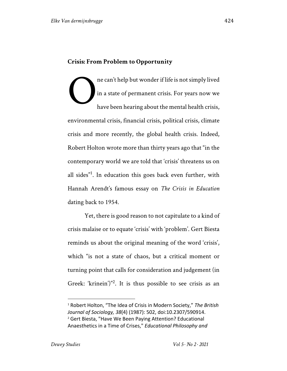## **Crisis: From Problem to Opportunity**

ne can't help but wonder if life is not simply lived in a state of permanent crisis. For years now we have been hearing about the mental health crisis, environmental crisis, financial crisis, political crisis, climate crisis and more recently, the global health crisis. Indeed, Robert Holton wrote more than thirty years ago that "in the contemporary world we are told that 'crisis' threatens us on all sides"<sup>1</sup>. In education this goes back even further, with Hannah Arendt's famous essay on *The Crisis in Education* dating back to 1954. O

Yet, there is good reason to not capitulate to a kind of crisis malaise or to equate 'crisis' with 'problem'. Gert Biesta reminds us about the original meaning of the word 'crisis', which "is not a state of chaos, but a critical moment or turning point that calls for consideration and judgement (in Greek: 'krinein')"<sup>2</sup>. It is thus possible to see crisis as an

<sup>1</sup> Robert Holton, "The Idea of Crisis in Modern Society," *The British Journal of Sociology, 38*(4) (1987): 502, doi:10.2307/590914. <sup>2</sup> Gert Biesta, "Have We Been Paying Attention? Educational Anaesthetics in a Time of Crises," *Educational Philosophy and*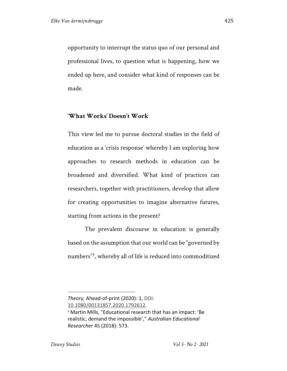opportunity to interrupt the status quo of our personal and professional lives, to question what is happening, how we ended up here, and consider what kind of responses can be made.

#### **'What Works' Doesn't Work**

This view led me to pursue doctoral studies in the field of education as a 'crisis response' whereby I am exploring how approaches to research methods in education can be broadened and diversified. What kind of practices can researchers, together with practitioners, develop that allow for creating opportunities to imagine alternative futures, starting from actions in the present?

The prevalent discourse in education is generally based on the assumption that our world can be "governed by numbers"<sup>3</sup> , whereby all of life is reduced into commoditized

*Theory,* Ahead-of-print (2020): 1, DOI:

<sup>10.1080/00131857.2020.1792612.</sup>

<sup>3</sup> Martin Mills, "Educational research that has an impact: 'Be realistic, demand the impossible'," *Australian Educational Researcher* 45 (2018): 573.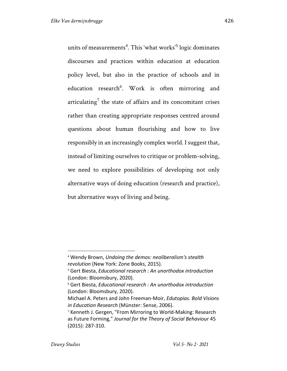units of measurements $^4$ . This 'what works' $^5$  logic dominates discourses and practices within education at education policy level, but also in the practice of schools and in education research<sup>6</sup>. Work is often mirroring and articulating<sup>7</sup> the state of affairs and its concomitant crises rather than creating appropriate responses centred around questions about human flourishing and how to live responsibly in an increasingly complex world. I suggest that, instead of limiting ourselves to critique or problem-solving, we need to explore possibilities of developing not only alternative ways of doing education (research and practice), but alternative ways of living and being.

<sup>4</sup> Wendy Brown, *Undoing the demos: neoliberalism's stealth revolution* (New York: Zone Books, 2015).

<sup>5</sup> Gert Biesta, *Educational research : An unorthodox introduction* (London: Bloomsbury, 2020).

<sup>6</sup> Gert Biesta, *Educational research : An unorthodox introduction* (London: Bloomsbury, 2020).

Michael A. Peters and John Freeman-Moir, *Edutopias. Bold Visions in Education Research* (Münster: Sense, 2006).

<sup>7</sup> Kenneth J. Gergen, "From Mirroring to World-Making: Research as Future Forming," *Journal for the Theory of Social Behaviour* 45 (2015): 287-310.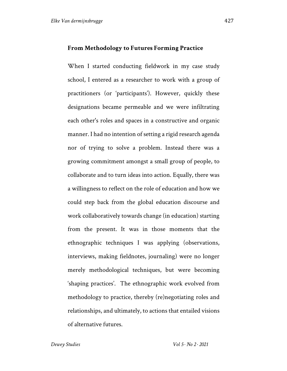#### **From Methodology to Futures Forming Practice**

When I started conducting fieldwork in my case study school, I entered as a researcher to work with a group of practitioners (or 'participants'). However, quickly these designations became permeable and we were infiltrating each other's roles and spaces in a constructive and organic manner. I had no intention of setting a rigid research agenda nor of trying to solve a problem. Instead there was a growing commitment amongst a small group of people, to collaborate and to turn ideas into action. Equally, there was a willingness to reflect on the role of education and how we could step back from the global education discourse and work collaboratively towards change (in education) starting from the present. It was in those moments that the ethnographic techniques I was applying (observations, interviews, making fieldnotes, journaling) were no longer merely methodological techniques, but were becoming 'shaping practices'. The ethnographic work evolved from methodology to practice, thereby (re)negotiating roles and relationships, and ultimately, to actions that entailed visions of alternative futures.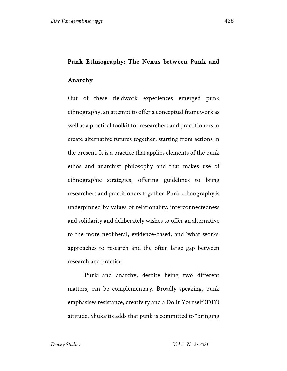# **Punk Ethnography: The Nexus between Punk and**

#### **Anarchy**

Out of these fieldwork experiences emerged punk ethnography, an attempt to offer a conceptual framework as well as a practical toolkit for researchers and practitioners to create alternative futures together, starting from actions in the present. It is a practice that applies elements of the punk ethos and anarchist philosophy and that makes use of ethnographic strategies, offering guidelines to bring researchers and practitioners together. Punk ethnography is underpinned by values of relationality, interconnectedness and solidarity and deliberately wishes to offer an alternative to the more neoliberal, evidence-based, and 'what works' approaches to research and the often large gap between research and practice.

Punk and anarchy, despite being two different matters, can be complementary. Broadly speaking, punk emphasises resistance, creativity and a Do It Yourself (DIY) attitude. Shukaitis adds that punk is committed to "bringing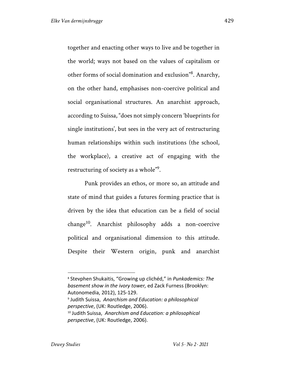together and enacting other ways to live and be together in the world; ways not based on the values of capitalism or other forms of social domination and exclusion"8 . Anarchy, on the other hand, emphasises non-coercive political and social organisational structures. An anarchist approach, according to Suissa, "does not simply concern 'blueprints for single institutions', but sees in the very act of restructuring human relationships within such institutions (the school, the workplace), a creative act of engaging with the restructuring of society as a whole" $9$ .

Punk provides an ethos, or more so, an attitude and state of mind that guides a futures forming practice that is driven by the idea that education can be a field of social  $change<sup>10</sup>$ . Anarchist philosophy adds a non-coercive political and organisational dimension to this attitude. Despite their Western origin, punk and anarchist

<sup>8</sup> Stevphen Shukaitis, "Growing up clichéd," in *Punkademics: The basement show in the ivory tower,* ed Zack Furness (Brooklyn: Autonomedia, 2012), 125-129.

<sup>9</sup> Judith Suissa, *Anarchism and Education: a philosophical perspective*, (UK: Routledge, 2006).

<sup>10</sup> Judith Suissa, *Anarchism and Education: a philosophical perspective*, (UK: Routledge, 2006).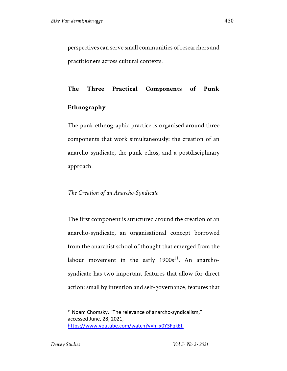perspectives can serve small communities of researchers and practitioners across cultural contexts.

# **The Three Practical Components of Punk**

## **Ethnography**

The punk ethnographic practice is organised around three components that work simultaneously: the creation of an anarcho-syndicate, the punk ethos, and a postdisciplinary approach.

## *The Creation of an Anarcho-Syndicate*

The first component is structured around the creation of an anarcho-syndicate, an organisational concept borrowed from the anarchist school of thought that emerged from the labour movement in the early  $1900s^{11}$ . An anarchosyndicate has two important features that allow for direct action: small by intention and self-governance, features that

<sup>&</sup>lt;sup>11</sup> Noam Chomsky, "The relevance of anarcho-syndicalism," accessed June, 28, 2021, https://www.youtube.com/watch?v=h\_x0Y3FqkEI.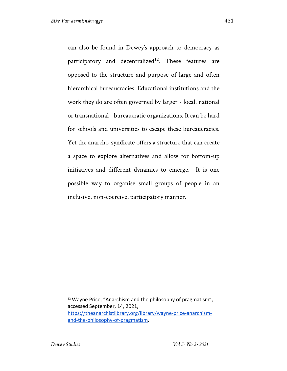can also be found in Dewey's approach to democracy as participatory and decentralized<sup>12</sup>. These features are opposed to the structure and purpose of large and often hierarchical bureaucracies. Educational institutions and the work they do are often governed by larger - local, national or transnational - bureaucratic organizations. It can be hard for schools and universities to escape these bureaucracies. Yet the anarcho-syndicate offers a structure that can create a space to explore alternatives and allow for bottom-up initiatives and different dynamics to emerge. It is one possible way to organise small groups of people in an inclusive, non-coercive, participatory manner.

<sup>&</sup>lt;sup>12</sup> Wayne Price, "Anarchism and the philosophy of pragmatism", accessed September, 14, 2021, https://theanarchistlibrary.org/library/wayne-price-anarchismand-the-philosophy-of-pragmatism.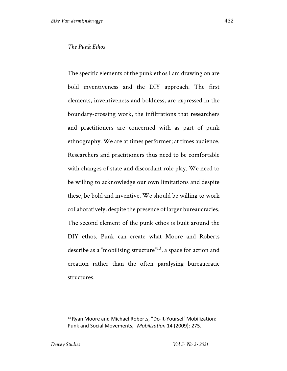The specific elements of the punk ethos I am drawing on are bold inventiveness and the DIY approach. The first elements, inventiveness and boldness, are expressed in the boundary-crossing work, the infiltrations that researchers and practitioners are concerned with as part of punk ethnography. We are at times performer; at times audience. Researchers and practitioners thus need to be comfortable with changes of state and discordant role play. We need to be willing to acknowledge our own limitations and despite these, be bold and inventive. We should be willing to work collaboratively, despite the presence of larger bureaucracies. The second element of the punk ethos is built around the DIY ethos. Punk can create what Moore and Roberts describe as a "mobilising structure"<sup>13</sup>, a space for action and creation rather than the often paralysing bureaucratic structures.

<sup>13</sup> Ryan Moore and Michael Roberts, "Do-It-Yourself Mobilization: Punk and Social Movements," *Mobilization* 14 (2009): 275.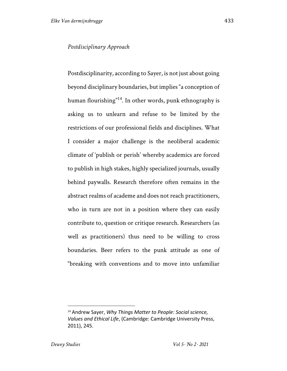#### *Postdisciplinary Approach*

Postdisciplinarity, according to Sayer, is not just about going beyond disciplinary boundaries, but implies "a conception of human flourishing"14. In other words, punk ethnography is asking us to unlearn and refuse to be limited by the restrictions of our professional fields and disciplines. What I consider a major challenge is the neoliberal academic climate of 'publish or perish' whereby academics are forced to publish in high stakes, highly specialized journals, usually behind paywalls. Research therefore often remains in the abstract realms of academe and does not reach practitioners, who in turn are not in a position where they can easily contribute to, question or critique research. Researchers (as well as practitioners) thus need to be willing to cross boundaries. Beer refers to the punk attitude as one of "breaking with conventions and to move into unfamiliar

<sup>14</sup> Andrew Sayer, *Why Things Matter to People: Social science, Values and Ethical Life*, (Cambridge: Cambridge University Press, 2011), 245.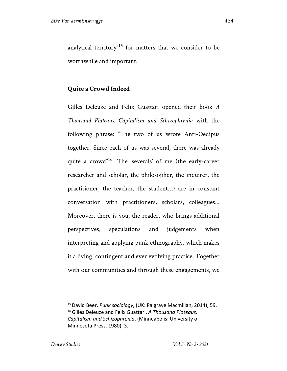analytical territory"<sup>15</sup> for matters that we consider to be worthwhile and important.

## **Quite a Crowd Indeed**

Gilles Deleuze and Felix Guattari opened their book *A Thousand Plateaus: Capitalism and Schizophrenia* with the following phrase: "The two of us wrote Anti-Oedipus together. Since each of us was several, there was already quite a crowd"<sup>16</sup>. The 'severals' of me (the early-career researcher and scholar, the philosopher, the inquirer, the practitioner, the teacher, the student…) are in constant conversation with practitioners, scholars, colleagues... Moreover, there is you, the reader, who brings additional perspectives, speculations and judgements when interpreting and applying punk ethnography, which makes it a living, contingent and ever evolving practice. Together with our communities and through these engagements, we

<sup>15</sup> David Beer, *Punk sociology*, (UK: Palgrave Macmillan, 2014), 59.

<sup>16</sup> Gilles Deleuze and Felix Guattari, *A Thousand Plateaus: Capitalism and Schizophrenia*, (Minneapolis: University of Minnesota Press, 1980), 3.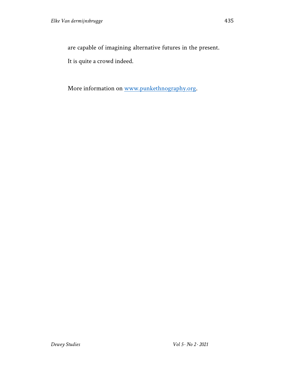are capable of imagining alternative futures in the present.

It is quite a crowd indeed.

More information on www.punkethnography.org.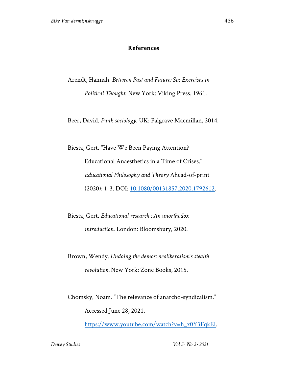### **References**

Arendt, Hannah. *Between Past and Future: Six Exercises in Political Thought*. New York: Viking Press, 1961.

Beer, David. *Punk sociology*. UK: Palgrave Macmillan, 2014.

Biesta, Gert. "Have We Been Paying Attention? Educational Anaesthetics in a Time of Crises." *Educational Philosophy and Theory* Ahead-of-print (2020): 1-3. DOI: 10.1080/00131857.2020.1792612.

Biesta, Gert. *Educational research : An unorthodox introduction*. London: Bloomsbury, 2020.

Brown, Wendy. *Undoing the demos: neoliberalism's stealth revolution.* New York: Zone Books, 2015.

Chomsky, Noam. "The relevance of anarcho-syndicalism." Accessed June 28, 2021.

https://www.youtube.com/watch?v=h\_x0Y3FqkEI.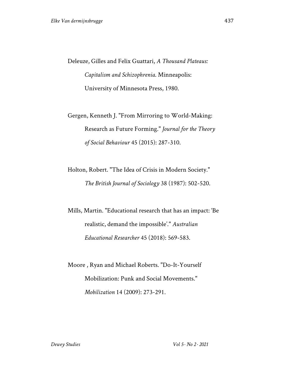Deleuze, Gilles and Felix Guattari, *A Thousand Plateaus: Capitalism and Schizophrenia*. Minneapolis: University of Minnesota Press, 1980.

Gergen, Kenneth J. "From Mirroring to World-Making: Research as Future Forming." *Journal for the Theory of Social Behaviour* 45 (2015): 287-310.

Holton, Robert. "The Idea of Crisis in Modern Society." *The British Journal of Sociology* 38 (1987): 502-520.

Mills, Martin. "Educational research that has an impact: 'Be realistic, demand the impossible'." *Australian Educational Researcher* 45 (2018): 569-583.

Moore , Ryan and Michael Roberts. "Do-It-Yourself Mobilization: Punk and Social Movements." *Mobilization* 14 (2009): 273-291.